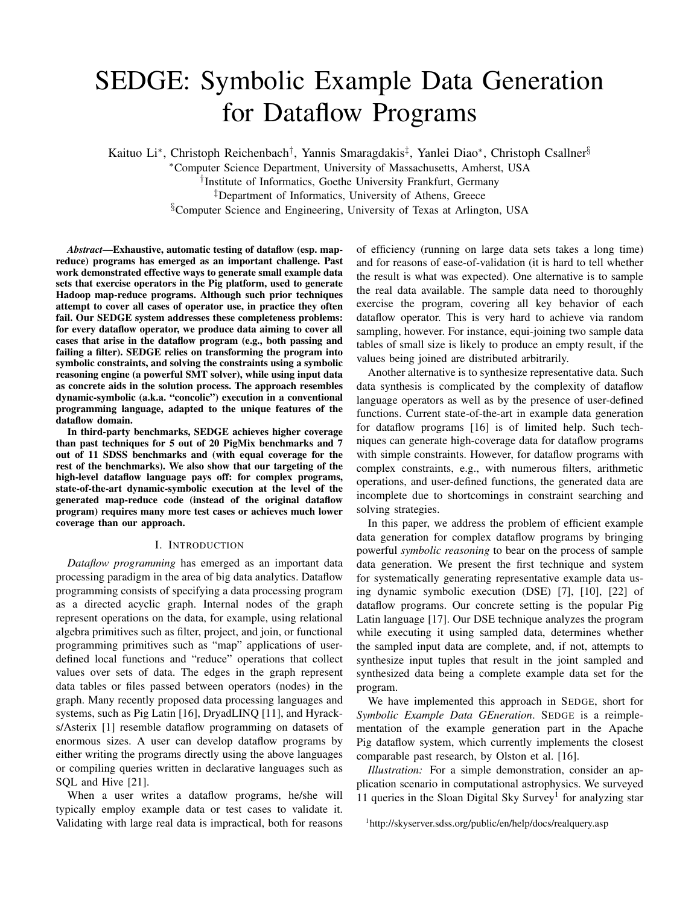# SEDGE: Symbolic Example Data Generation for Dataflow Programs

Kaituo Li\*, Christoph Reichenbach<sup>†</sup>, Yannis Smaragdakis<sup>‡</sup>, Yanlei Diao\*, Christoph Csallner<sup>§</sup>

<sup>∗</sup>Computer Science Department, University of Massachusetts, Amherst, USA

† Institute of Informatics, Goethe University Frankfurt, Germany

‡Department of Informatics, University of Athens, Greece

§Computer Science and Engineering, University of Texas at Arlington, USA

*Abstract*—Exhaustive, automatic testing of dataflow (esp. mapreduce) programs has emerged as an important challenge. Past work demonstrated effective ways to generate small example data sets that exercise operators in the Pig platform, used to generate Hadoop map-reduce programs. Although such prior techniques attempt to cover all cases of operator use, in practice they often fail. Our SEDGE system addresses these completeness problems: for every dataflow operator, we produce data aiming to cover all cases that arise in the dataflow program (e.g., both passing and failing a filter). SEDGE relies on transforming the program into symbolic constraints, and solving the constraints using a symbolic reasoning engine (a powerful SMT solver), while using input data as concrete aids in the solution process. The approach resembles dynamic-symbolic (a.k.a. "concolic") execution in a conventional programming language, adapted to the unique features of the dataflow domain.

In third-party benchmarks, SEDGE achieves higher coverage than past techniques for 5 out of 20 PigMix benchmarks and 7 out of 11 SDSS benchmarks and (with equal coverage for the rest of the benchmarks). We also show that our targeting of the high-level dataflow language pays off: for complex programs, state-of-the-art dynamic-symbolic execution at the level of the generated map-reduce code (instead of the original dataflow program) requires many more test cases or achieves much lower coverage than our approach.

# I. INTRODUCTION

*Dataflow programming* has emerged as an important data processing paradigm in the area of big data analytics. Dataflow programming consists of specifying a data processing program as a directed acyclic graph. Internal nodes of the graph represent operations on the data, for example, using relational algebra primitives such as filter, project, and join, or functional programming primitives such as "map" applications of userdefined local functions and "reduce" operations that collect values over sets of data. The edges in the graph represent data tables or files passed between operators (nodes) in the graph. Many recently proposed data processing languages and systems, such as Pig Latin [16], DryadLINQ [11], and Hyracks/Asterix [1] resemble dataflow programming on datasets of enormous sizes. A user can develop dataflow programs by either writing the programs directly using the above languages or compiling queries written in declarative languages such as SQL and Hive [21].

When a user writes a dataflow programs, he/she will typically employ example data or test cases to validate it. Validating with large real data is impractical, both for reasons of efficiency (running on large data sets takes a long time) and for reasons of ease-of-validation (it is hard to tell whether the result is what was expected). One alternative is to sample the real data available. The sample data need to thoroughly exercise the program, covering all key behavior of each dataflow operator. This is very hard to achieve via random sampling, however. For instance, equi-joining two sample data tables of small size is likely to produce an empty result, if the values being joined are distributed arbitrarily.

Another alternative is to synthesize representative data. Such data synthesis is complicated by the complexity of dataflow language operators as well as by the presence of user-defined functions. Current state-of-the-art in example data generation for dataflow programs [16] is of limited help. Such techniques can generate high-coverage data for dataflow programs with simple constraints. However, for dataflow programs with complex constraints, e.g., with numerous filters, arithmetic operations, and user-defined functions, the generated data are incomplete due to shortcomings in constraint searching and solving strategies.

In this paper, we address the problem of efficient example data generation for complex dataflow programs by bringing powerful *symbolic reasoning* to bear on the process of sample data generation. We present the first technique and system for systematically generating representative example data using dynamic symbolic execution (DSE) [7], [10], [22] of dataflow programs. Our concrete setting is the popular Pig Latin language [17]. Our DSE technique analyzes the program while executing it using sampled data, determines whether the sampled input data are complete, and, if not, attempts to synthesize input tuples that result in the joint sampled and synthesized data being a complete example data set for the program.

We have implemented this approach in SEDGE, short for *Symbolic Example Data GEneration*. SEDGE is a reimplementation of the example generation part in the Apache Pig dataflow system, which currently implements the closest comparable past research, by Olston et al. [16].

*Illustration:* For a simple demonstration, consider an application scenario in computational astrophysics. We surveyed 11 queries in the Sloan Digital Sky Survey<sup>1</sup> for analyzing star

1http://skyserver.sdss.org/public/en/help/docs/realquery.asp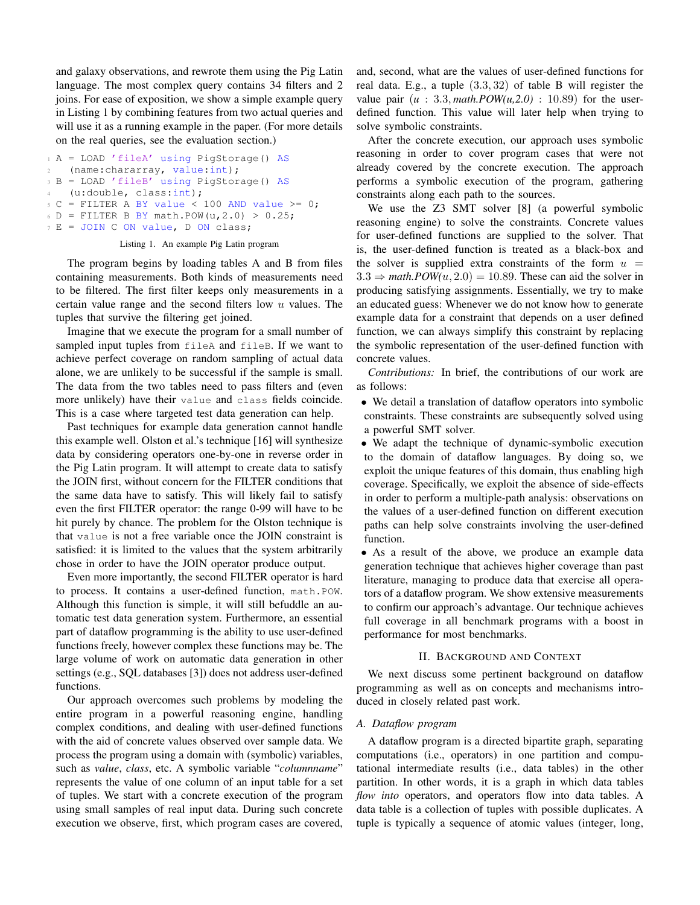and galaxy observations, and rewrote them using the Pig Latin language. The most complex query contains 34 filters and 2 joins. For ease of exposition, we show a simple example query in Listing 1 by combining features from two actual queries and will use it as a running example in the paper. (For more details on the real queries, see the evaluation section.)

```
1 A = LOAD 'fileA' using PigStorage() AS
2 (name:chararray, value:int);
3 B = LOAD 'fileB' using PigStorage() AS
   (u:double, class:int);
5 C = FILTER A BY value < 100 AND value >= 0;
6 D = FILTER B BY math.POW(u, 2.0) > 0.25;
7 E = JOIN C ON value, D ON class;
```
#### Listing 1. An example Pig Latin program

The program begins by loading tables A and B from files containing measurements. Both kinds of measurements need to be filtered. The first filter keeps only measurements in a certain value range and the second filters low  $u$  values. The tuples that survive the filtering get joined.

Imagine that we execute the program for a small number of sampled input tuples from fileA and fileB. If we want to achieve perfect coverage on random sampling of actual data alone, we are unlikely to be successful if the sample is small. The data from the two tables need to pass filters and (even more unlikely) have their value and class fields coincide. This is a case where targeted test data generation can help.

Past techniques for example data generation cannot handle this example well. Olston et al.'s technique [16] will synthesize data by considering operators one-by-one in reverse order in the Pig Latin program. It will attempt to create data to satisfy the JOIN first, without concern for the FILTER conditions that the same data have to satisfy. This will likely fail to satisfy even the first FILTER operator: the range 0-99 will have to be hit purely by chance. The problem for the Olston technique is that value is not a free variable once the JOIN constraint is satisfied: it is limited to the values that the system arbitrarily chose in order to have the JOIN operator produce output.

Even more importantly, the second FILTER operator is hard to process. It contains a user-defined function, math.POW. Although this function is simple, it will still befuddle an automatic test data generation system. Furthermore, an essential part of dataflow programming is the ability to use user-defined functions freely, however complex these functions may be. The large volume of work on automatic data generation in other settings (e.g., SQL databases [3]) does not address user-defined functions.

Our approach overcomes such problems by modeling the entire program in a powerful reasoning engine, handling complex conditions, and dealing with user-defined functions with the aid of concrete values observed over sample data. We process the program using a domain with (symbolic) variables, such as *value*, *class*, etc. A symbolic variable "*columnname*" represents the value of one column of an input table for a set of tuples. We start with a concrete execution of the program using small samples of real input data. During such concrete execution we observe, first, which program cases are covered, and, second, what are the values of user-defined functions for real data. E.g., a tuple (3.3, 32) of table B will register the value pair  $(u : 3.3, \text{math.POW}(u, 2.0) : 10.89)$  for the userdefined function. This value will later help when trying to solve symbolic constraints.

After the concrete execution, our approach uses symbolic reasoning in order to cover program cases that were not already covered by the concrete execution. The approach performs a symbolic execution of the program, gathering constraints along each path to the sources.

We use the Z3 SMT solver [8] (a powerful symbolic reasoning engine) to solve the constraints. Concrete values for user-defined functions are supplied to the solver. That is, the user-defined function is treated as a black-box and the solver is supplied extra constraints of the form  $u =$  $3.3 \Rightarrow \text{math}$  *POW* $(u, 2.0) = 10.89$ . These can aid the solver in producing satisfying assignments. Essentially, we try to make an educated guess: Whenever we do not know how to generate example data for a constraint that depends on a user defined function, we can always simplify this constraint by replacing the symbolic representation of the user-defined function with concrete values.

*Contributions:* In brief, the contributions of our work are as follows:

- We detail a translation of dataflow operators into symbolic constraints. These constraints are subsequently solved using a powerful SMT solver.
- We adapt the technique of dynamic-symbolic execution to the domain of dataflow languages. By doing so, we exploit the unique features of this domain, thus enabling high coverage. Specifically, we exploit the absence of side-effects in order to perform a multiple-path analysis: observations on the values of a user-defined function on different execution paths can help solve constraints involving the user-defined function.
- As a result of the above, we produce an example data generation technique that achieves higher coverage than past literature, managing to produce data that exercise all operators of a dataflow program. We show extensive measurements to confirm our approach's advantage. Our technique achieves full coverage in all benchmark programs with a boost in performance for most benchmarks.

# II. BACKGROUND AND CONTEXT

We next discuss some pertinent background on dataflow programming as well as on concepts and mechanisms introduced in closely related past work.

#### *A. Dataflow program*

A dataflow program is a directed bipartite graph, separating computations (i.e., operators) in one partition and computational intermediate results (i.e., data tables) in the other partition. In other words, it is a graph in which data tables *flow into* operators, and operators flow into data tables. A data table is a collection of tuples with possible duplicates. A tuple is typically a sequence of atomic values (integer, long,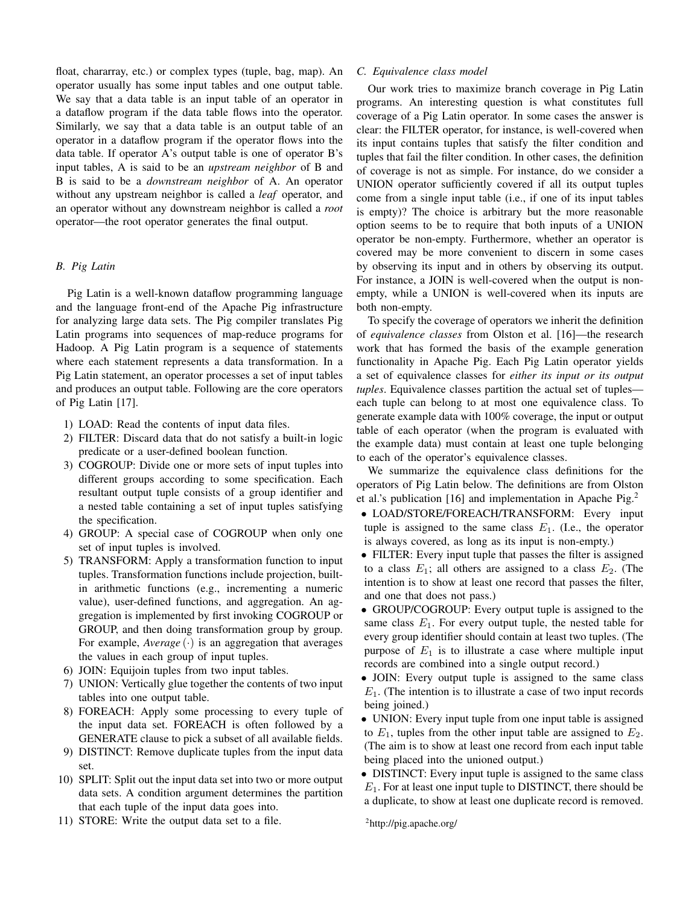float, chararray, etc.) or complex types (tuple, bag, map). An operator usually has some input tables and one output table. We say that a data table is an input table of an operator in a dataflow program if the data table flows into the operator. Similarly, we say that a data table is an output table of an operator in a dataflow program if the operator flows into the data table. If operator A's output table is one of operator B's input tables, A is said to be an *upstream neighbor* of B and B is said to be a *downstream neighbor* of A. An operator without any upstream neighbor is called a *leaf* operator, and an operator without any downstream neighbor is called a *root* operator—the root operator generates the final output.

## *B. Pig Latin*

Pig Latin is a well-known dataflow programming language and the language front-end of the Apache Pig infrastructure for analyzing large data sets. The Pig compiler translates Pig Latin programs into sequences of map-reduce programs for Hadoop. A Pig Latin program is a sequence of statements where each statement represents a data transformation. In a Pig Latin statement, an operator processes a set of input tables and produces an output table. Following are the core operators of Pig Latin [17].

- 1) LOAD: Read the contents of input data files.
- 2) FILTER: Discard data that do not satisfy a built-in logic predicate or a user-defined boolean function.
- 3) COGROUP: Divide one or more sets of input tuples into different groups according to some specification. Each resultant output tuple consists of a group identifier and a nested table containing a set of input tuples satisfying the specification.
- 4) GROUP: A special case of COGROUP when only one set of input tuples is involved.
- 5) TRANSFORM: Apply a transformation function to input tuples. Transformation functions include projection, builtin arithmetic functions (e.g., incrementing a numeric value), user-defined functions, and aggregation. An aggregation is implemented by first invoking COGROUP or GROUP, and then doing transformation group by group. For example, *Average* (·) is an aggregation that averages the values in each group of input tuples.
- 6) JOIN: Equijoin tuples from two input tables.
- 7) UNION: Vertically glue together the contents of two input tables into one output table.
- 8) FOREACH: Apply some processing to every tuple of the input data set. FOREACH is often followed by a GENERATE clause to pick a subset of all available fields.
- 9) DISTINCT: Remove duplicate tuples from the input data set.
- 10) SPLIT: Split out the input data set into two or more output data sets. A condition argument determines the partition that each tuple of the input data goes into.
- 11) STORE: Write the output data set to a file.

#### *C. Equivalence class model*

Our work tries to maximize branch coverage in Pig Latin programs. An interesting question is what constitutes full coverage of a Pig Latin operator. In some cases the answer is clear: the FILTER operator, for instance, is well-covered when its input contains tuples that satisfy the filter condition and tuples that fail the filter condition. In other cases, the definition of coverage is not as simple. For instance, do we consider a UNION operator sufficiently covered if all its output tuples come from a single input table (i.e., if one of its input tables is empty)? The choice is arbitrary but the more reasonable option seems to be to require that both inputs of a UNION operator be non-empty. Furthermore, whether an operator is covered may be more convenient to discern in some cases by observing its input and in others by observing its output. For instance, a JOIN is well-covered when the output is nonempty, while a UNION is well-covered when its inputs are both non-empty.

To specify the coverage of operators we inherit the definition of *equivalence classes* from Olston et al. [16]—the research work that has formed the basis of the example generation functionality in Apache Pig. Each Pig Latin operator yields a set of equivalence classes for *either its input or its output tuples*. Equivalence classes partition the actual set of tuples each tuple can belong to at most one equivalence class. To generate example data with 100% coverage, the input or output table of each operator (when the program is evaluated with the example data) must contain at least one tuple belonging to each of the operator's equivalence classes.

We summarize the equivalence class definitions for the operators of Pig Latin below. The definitions are from Olston et al.'s publication [16] and implementation in Apache Pig.<sup>2</sup>

- LOAD/STORE/FOREACH/TRANSFORM: Every input tuple is assigned to the same class  $E_1$ . (I.e., the operator is always covered, as long as its input is non-empty.)
- FILTER: Every input tuple that passes the filter is assigned to a class  $E_1$ ; all others are assigned to a class  $E_2$ . (The intention is to show at least one record that passes the filter, and one that does not pass.)
- GROUP/COGROUP: Every output tuple is assigned to the same class  $E_1$ . For every output tuple, the nested table for every group identifier should contain at least two tuples. (The purpose of  $E_1$  is to illustrate a case where multiple input records are combined into a single output record.)
- JOIN: Every output tuple is assigned to the same class  $E_1$ . (The intention is to illustrate a case of two input records being joined.)
- UNION: Every input tuple from one input table is assigned to  $E_1$ , tuples from the other input table are assigned to  $E_2$ . (The aim is to show at least one record from each input table being placed into the unioned output.)
- DISTINCT: Every input tuple is assigned to the same class  $E_1$ . For at least one input tuple to DISTINCT, there should be a duplicate, to show at least one duplicate record is removed.

2http://pig.apache.org/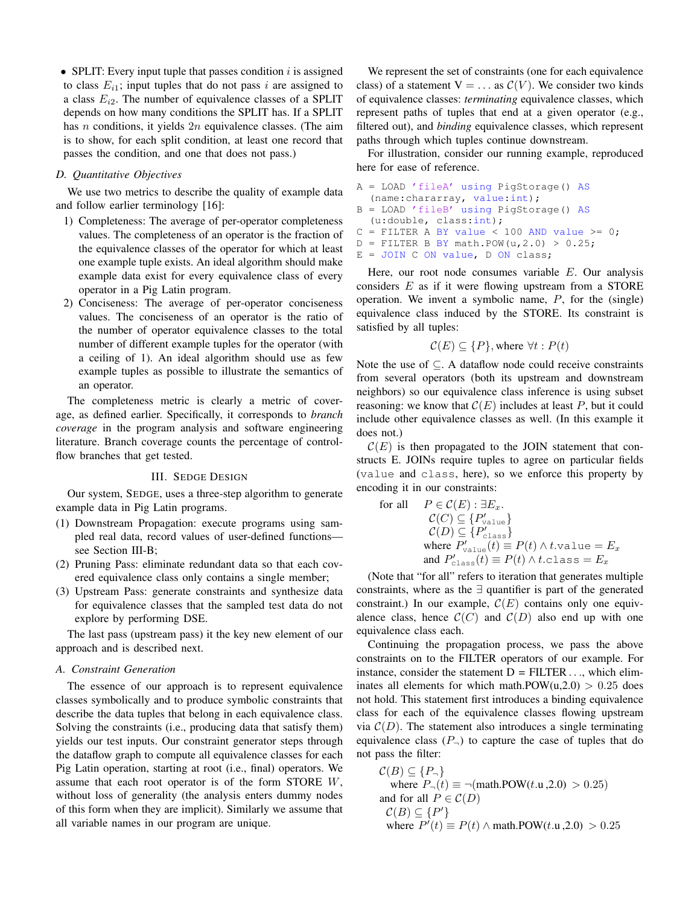• SPLIT: Every input tuple that passes condition  $i$  is assigned to class  $E_{i1}$ ; input tuples that do not pass i are assigned to a class  $E_{i2}$ . The number of equivalence classes of a SPLIT depends on how many conditions the SPLIT has. If a SPLIT has *n* conditions, it yields  $2n$  equivalence classes. (The aim is to show, for each split condition, at least one record that passes the condition, and one that does not pass.)

#### *D. Quantitative Objectives*

We use two metrics to describe the quality of example data and follow earlier terminology [16]:

- 1) Completeness: The average of per-operator completeness values. The completeness of an operator is the fraction of the equivalence classes of the operator for which at least one example tuple exists. An ideal algorithm should make example data exist for every equivalence class of every operator in a Pig Latin program.
- 2) Conciseness: The average of per-operator conciseness values. The conciseness of an operator is the ratio of the number of operator equivalence classes to the total number of different example tuples for the operator (with a ceiling of 1). An ideal algorithm should use as few example tuples as possible to illustrate the semantics of an operator.

The completeness metric is clearly a metric of coverage, as defined earlier. Specifically, it corresponds to *branch coverage* in the program analysis and software engineering literature. Branch coverage counts the percentage of controlflow branches that get tested.

#### III. SEDGE DESIGN

Our system, SEDGE, uses a three-step algorithm to generate example data in Pig Latin programs.

- (1) Downstream Propagation: execute programs using sampled real data, record values of user-defined functions see Section III-B;
- (2) Pruning Pass: eliminate redundant data so that each covered equivalence class only contains a single member;
- (3) Upstream Pass: generate constraints and synthesize data for equivalence classes that the sampled test data do not explore by performing DSE.

The last pass (upstream pass) it the key new element of our approach and is described next.

# *A. Constraint Generation*

The essence of our approach is to represent equivalence classes symbolically and to produce symbolic constraints that describe the data tuples that belong in each equivalence class. Solving the constraints (i.e., producing data that satisfy them) yields our test inputs. Our constraint generator steps through the dataflow graph to compute all equivalence classes for each Pig Latin operation, starting at root (i.e., final) operators. We assume that each root operator is of the form STORE W, without loss of generality (the analysis enters dummy nodes of this form when they are implicit). Similarly we assume that all variable names in our program are unique.

We represent the set of constraints (one for each equivalence class) of a statement  $V = \dots$  as  $C(V)$ . We consider two kinds of equivalence classes: *terminating* equivalence classes, which represent paths of tuples that end at a given operator (e.g., filtered out), and *binding* equivalence classes, which represent paths through which tuples continue downstream.

For illustration, consider our running example, reproduced here for ease of reference.

```
A = LOAD 'fileA' using PigStorage() AS
  (name:chararray, value:int);
B = LOAD 'fileB' using PigStorage() AS
  (u:double, class:int);
C = FILTER A BY value < 100 AND value >= 0;
D = FILTER B BY math. POW(u, 2.0) > 0.25;
E = JOIN C ON value, D ON class;
```
Here, our root node consumes variable E. Our analysis considers  $E$  as if it were flowing upstream from a STORE operation. We invent a symbolic name,  $P$ , for the (single) equivalence class induced by the STORE. Its constraint is satisfied by all tuples:

$$
\mathcal{C}(E) \subseteq \{P\}
$$
, where  $\forall t : P(t)$ 

Note the use of ⊆. A dataflow node could receive constraints from several operators (both its upstream and downstream neighbors) so our equivalence class inference is using subset reasoning: we know that  $\mathcal{C}(E)$  includes at least P, but it could include other equivalence classes as well. (In this example it does not.)

 $\mathcal{C}(E)$  is then propagated to the JOIN statement that constructs E. JOINs require tuples to agree on particular fields (value and class, here), so we enforce this property by encoding it in our constraints:

for all 
$$
P \in C(E) : \exists E_x
$$
.  
\n $C(C) \subseteq \{P'_{\text{value}}\}$   
\n $C(D) \subseteq \{P'_{\text{class}}\}$   
\nwhere  $P'_{\text{value}}(t) \equiv P(t) \land t.\text{value} = E_x$   
\nand  $P'_{\text{class}}(t) \equiv P(t) \land t.\text{class} = E_x$ 

(Note that "for all" refers to iteration that generates multiple constraints, where as the ∃ quantifier is part of the generated constraint.) In our example,  $\mathcal{C}(E)$  contains only one equivalence class, hence  $\mathcal{C}(C)$  and  $\mathcal{C}(D)$  also end up with one equivalence class each.

Continuing the propagation process, we pass the above constraints on to the FILTER operators of our example. For instance, consider the statement  $D = FILTER \dots$ , which eliminates all elements for which math.POW $(u,2.0) > 0.25$  does not hold. This statement first introduces a binding equivalence class for each of the equivalence classes flowing upstream via  $\mathcal{C}(D)$ . The statement also introduces a single terminating equivalence class  $(P_{\neg})$  to capture the case of tuples that do not pass the filter:

$$
C(B) \subseteq \{P_{\neg}\}\
$$
  
where  $P_{\neg}(t) \equiv \neg(\text{math.POW}(t.u.2.0) > 0.25)$   
and for all  $P \in C(D)$   

$$
C(B) \subseteq \{P'\}\
$$
  
where  $P'(t) \equiv P(t) \land \text{math.POW}(t.u.2.0) > 0.25$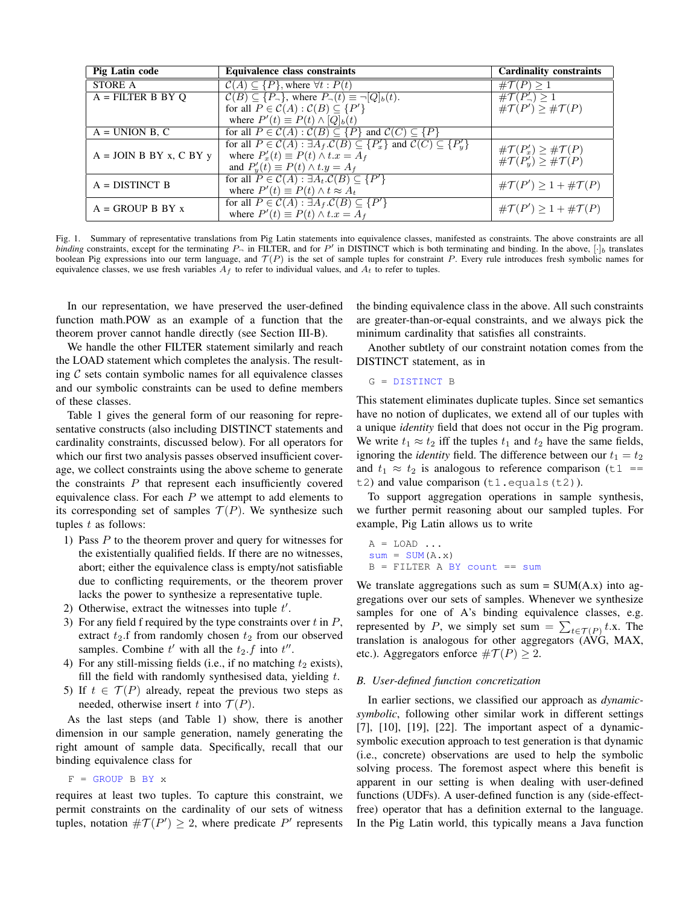| Pig Latin code            | <b>Equivalence class constraints</b>                                                       | <b>Cardinality constraints</b>                  |
|---------------------------|--------------------------------------------------------------------------------------------|-------------------------------------------------|
| <b>STORE A</b>            | $C(A) \subseteq \{P\}$ , where $\forall t : P(t)$                                          | $\# \mathcal{T}(\overline{P}) \geq 1$           |
| $A =$ FILTER B BY Q       | $\mathcal{C}(B) \subseteq \{P_{\neg}\}\$ , where $P_{\neg}(t) \equiv \neg [Q]_b(t)$ .      | $\# \mathcal{T}(P'_{\neg}) \geq 1$              |
|                           | for all $P \in \mathcal{C}(A) : \mathcal{C}(B) \subseteq \{P'\}\$                          | $\# \mathcal{T}(P') \geq \# \mathcal{T}(P)$     |
|                           | where $P'(t) \equiv P(t) \wedge [Q]_b(t)$                                                  |                                                 |
| $A = UNION B, C$          | for all $P \in C(A)$ : $C(B) \subseteq \{P\}$ and $C(C) \subseteq \{P\}$                   |                                                 |
| $A = JOIN B BY x, C BY y$ | for all $P \in C(A)$ : $\exists A_f.C(B) \subseteq \{P'_x\}$ and $C(C) \subseteq \{P'_y\}$ | $\#\mathcal{T}(P'_x) \geq \#\mathcal{T}(P)$     |
|                           | where $P'_x(t) \equiv P(t) \wedge t \cdot x = A_f$                                         | $\#\mathcal{T}(P'_y) \geq \#\mathcal{T}(P)$     |
|                           | and $P'_u(t) \equiv P(t) \wedge t \cdot y = A_f$                                           |                                                 |
| $A = DISTINCT B$          | for all $P \in C(A)$ : $\exists A_t.C(B) \subseteq \{P'\}$                                 | $\# \mathcal{T}(P') \geq 1 + \# \mathcal{T}(P)$ |
|                           | where $P'(t) \equiv P(t) \wedge t \approx A_t$                                             |                                                 |
| $A =$ GROUP B BY x        | for all $P \in C(A)$ : $\exists A_f.C(B) \subseteq \{P'\}$                                 | $\# \mathcal{T}(P') \geq 1 + \# \mathcal{T}(P)$ |
|                           | where $P'(t) \equiv P(t) \wedge t \cdot x = A_f$                                           |                                                 |

Fig. 1. Summary of representative translations from Pig Latin statements into equivalence classes, manifested as constraints. The above constraints are all *binding* constraints, except for the terminating  $P_{\neg}$  in FILTER, and for P' in DISTINCT which is both terminating and binding. In the above,  $[\cdot]_b$  translates boolean Pig expressions into our term language, and  $\mathcal{T}(P)$  is the set of sample tuples for constraint P. Every rule introduces fresh symbolic names for equivalence classes, we use fresh variables  $A_f$  to refer to individual values, and  $A_t$  to refer to tuples.

In our representation, we have preserved the user-defined function math.POW as an example of a function that the theorem prover cannot handle directly (see Section III-B).

We handle the other FILTER statement similarly and reach the LOAD statement which completes the analysis. The resulting  $\mathcal C$  sets contain symbolic names for all equivalence classes and our symbolic constraints can be used to define members of these classes.

Table 1 gives the general form of our reasoning for representative constructs (also including DISTINCT statements and cardinality constraints, discussed below). For all operators for which our first two analysis passes observed insufficient coverage, we collect constraints using the above scheme to generate the constraints  $P$  that represent each insufficiently covered equivalence class. For each  $P$  we attempt to add elements to its corresponding set of samples  $\mathcal{T}(P)$ . We synthesize such tuples  $t$  as follows:

- 1) Pass P to the theorem prover and query for witnesses for the existentially qualified fields. If there are no witnesses, abort; either the equivalence class is empty/not satisfiable due to conflicting requirements, or the theorem prover lacks the power to synthesize a representative tuple.
- 2) Otherwise, extract the witnesses into tuple  $t'$ .
- 3) For any field f required by the type constraints over  $t$  in  $P$ , extract  $t_2$ .f from randomly chosen  $t_2$  from our observed samples. Combine  $t'$  with all the  $t_2.f$  into  $t''$ .
- 4) For any still-missing fields (i.e., if no matching  $t_2$  exists), fill the field with randomly synthesised data, yielding  $t$ .
- 5) If  $t \in \mathcal{T}(P)$  already, repeat the previous two steps as needed, otherwise insert t into  $\mathcal{T}(P)$ .

As the last steps (and Table 1) show, there is another dimension in our sample generation, namely generating the right amount of sample data. Specifically, recall that our binding equivalence class for

 $F =$  GROUP B BY x

requires at least two tuples. To capture this constraint, we permit constraints on the cardinality of our sets of witness tuples, notation  $\# \mathcal{T}(P') \geq 2$ , where predicate P' represents the binding equivalence class in the above. All such constraints are greater-than-or-equal constraints, and we always pick the minimum cardinality that satisfies all constraints.

Another subtlety of our constraint notation comes from the DISTINCT statement, as in

G = DISTINCT B

This statement eliminates duplicate tuples. Since set semantics have no notion of duplicates, we extend all of our tuples with a unique *identity* field that does not occur in the Pig program. We write  $t_1 \approx t_2$  iff the tuples  $t_1$  and  $t_2$  have the same fields, ignoring the *identity* field. The difference between our  $t_1 = t_2$ and  $t_1 \approx t_2$  is analogous to reference comparison (t1 == t2) and value comparison (t1.equals(t2)).

To support aggregation operations in sample synthesis, we further permit reasoning about our sampled tuples. For example, Pig Latin allows us to write

```
A = LOAD \ldotssum = SUM(A, x)B = FILTER A BY count == sum
```
We translate aggregations such as sum =  $SUM(A.x)$  into aggregations over our sets of samples. Whenever we synthesize samples for one of A's binding equivalence classes, e.g. represented by P, we simply set sum =  $\sum_{t \in \mathcal{T}(P)} t.x$ . The translation is analogous for other aggregators (AVG, MAX, etc.). Aggregators enforce  $\# \mathcal{T}(P) \geq 2$ .

# *B. User-defined function concretization*

In earlier sections, we classified our approach as *dynamicsymbolic*, following other similar work in different settings [7], [10], [19], [22]. The important aspect of a dynamicsymbolic execution approach to test generation is that dynamic (i.e., concrete) observations are used to help the symbolic solving process. The foremost aspect where this benefit is apparent in our setting is when dealing with user-defined functions (UDFs). A user-defined function is any (side-effectfree) operator that has a definition external to the language. In the Pig Latin world, this typically means a Java function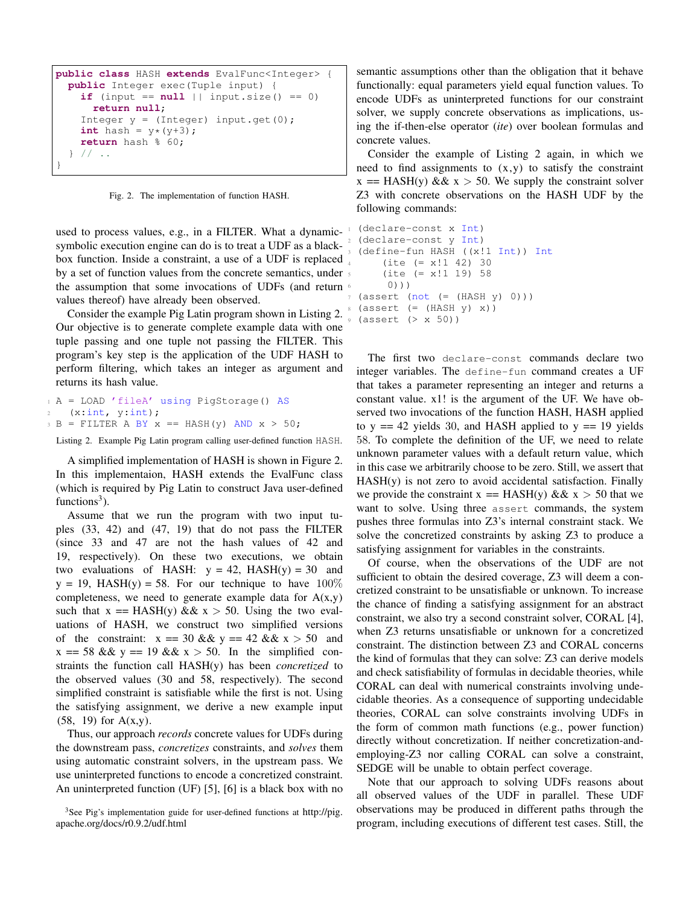```
public class HASH extends EvalFunc<Integer> {
 public Integer exec(Tuple input) {
    if (input == null || input.size() == 0)
      return null;
    Integer y = (Integer) input.get(0);int hash = y * (y+3);
    return hash % 60;
  } // ..
}
```
Fig. 2. The implementation of function HASH.

used to process values, e.g., in a FILTER. What a dynamicsymbolic execution engine can do is to treat a UDF as a blackbox function. Inside a constraint, a use of a UDF is replaced by a set of function values from the concrete semantics, under the assumption that some invocations of UDFs (and return values thereof) have already been observed.

Consider the example Pig Latin program shown in Listing 2. Our objective is to generate complete example data with one tuple passing and one tuple not passing the FILTER. This program's key step is the application of the UDF HASH to perform filtering, which takes an integer as argument and returns its hash value.

```
1 A = LOAD 'fileA' using PigStorage() AS
   (x:int, y:int);_3 B = FILTER A BY x == HASH(y) AND x > 50;
```
Listing 2. Example Pig Latin program calling user-defined function HASH.

A simplified implementation of HASH is shown in Figure 2. In this implementaion, HASH extends the EvalFunc class (which is required by Pig Latin to construct Java user-defined functions<sup>3</sup>).

Assume that we run the program with two input tuples (33, 42) and (47, 19) that do not pass the FILTER (since 33 and 47 are not the hash values of 42 and 19, respectively). On these two executions, we obtain two evaluations of HASH:  $y = 42$ , HASH(y) = 30 and  $y = 19$ , HASH(y) = 58. For our technique to have  $100\%$ completeness, we need to generate example data for  $A(x,y)$ such that  $x = HASH(y) \&& x > 50$ . Using the two evaluations of HASH, we construct two simplified versions of the constraint:  $x = 30 \& x \times y = 42 \& x \times 50$  and  $x = 58$  & &  $y = 19$  & &  $x > 50$ . In the simplified constraints the function call HASH(y) has been *concretized* to the observed values (30 and 58, respectively). The second simplified constraint is satisfiable while the first is not. Using the satisfying assignment, we derive a new example input  $(58, 19)$  for  $A(x,y)$ .

Thus, our approach *records* concrete values for UDFs during the downstream pass, *concretizes* constraints, and *solves* them using automatic constraint solvers, in the upstream pass. We use uninterpreted functions to encode a concretized constraint. An uninterpreted function (UF) [5], [6] is a black box with no

<sup>3</sup>See Pig's implementation guide for user-defined functions at http://pig. apache.org/docs/r0.9.2/udf.html

semantic assumptions other than the obligation that it behave functionally: equal parameters yield equal function values. To encode UDFs as uninterpreted functions for our constraint solver, we supply concrete observations as implications, using the if-then-else operator (*ite*) over boolean formulas and concrete values.

Consider the example of Listing 2 again, in which we need to find assignments to  $(x,y)$  to satisfy the constraint  $x = HASH(y) \&& x > 50$ . We supply the constraint solver Z3 with concrete observations on the HASH UDF by the following commands:

```
(declare-const x Int)
(declare-const y Int)
(define-fun HASH ((x!1 Int)) Int
    (ite (= x!1 42) 30)(ite (= x!1 19) 58)0)))
(\text{assert} (\text{not} (= (HASH \, y) \, 0)))(\text{assert } (= (\text{HASH } y) x))9 (assert (> x 50))
```
The first two declare-const commands declare two integer variables. The define-fun command creates a UF that takes a parameter representing an integer and returns a constant value. x1! is the argument of the UF. We have observed two invocations of the function HASH, HASH applied to  $y = 42$  yields 30, and HASH applied to  $y = 19$  yields 58. To complete the definition of the UF, we need to relate unknown parameter values with a default return value, which in this case we arbitrarily choose to be zero. Still, we assert that HASH(y) is not zero to avoid accidental satisfaction. Finally we provide the constraint  $x = HASH(y) \&x > 50$  that we want to solve. Using three assert commands, the system pushes three formulas into Z3's internal constraint stack. We solve the concretized constraints by asking Z3 to produce a satisfying assignment for variables in the constraints.

Of course, when the observations of the UDF are not sufficient to obtain the desired coverage, Z3 will deem a concretized constraint to be unsatisfiable or unknown. To increase the chance of finding a satisfying assignment for an abstract constraint, we also try a second constraint solver, CORAL [4], when Z3 returns unsatisfiable or unknown for a concretized constraint. The distinction between Z3 and CORAL concerns the kind of formulas that they can solve: Z3 can derive models and check satisfiability of formulas in decidable theories, while CORAL can deal with numerical constraints involving undecidable theories. As a consequence of supporting undecidable theories, CORAL can solve constraints involving UDFs in the form of common math functions (e.g., power function) directly without concretization. If neither concretization-andemploying-Z3 nor calling CORAL can solve a constraint, SEDGE will be unable to obtain perfect coverage.

Note that our approach to solving UDFs reasons about all observed values of the UDF in parallel. These UDF observations may be produced in different paths through the program, including executions of different test cases. Still, the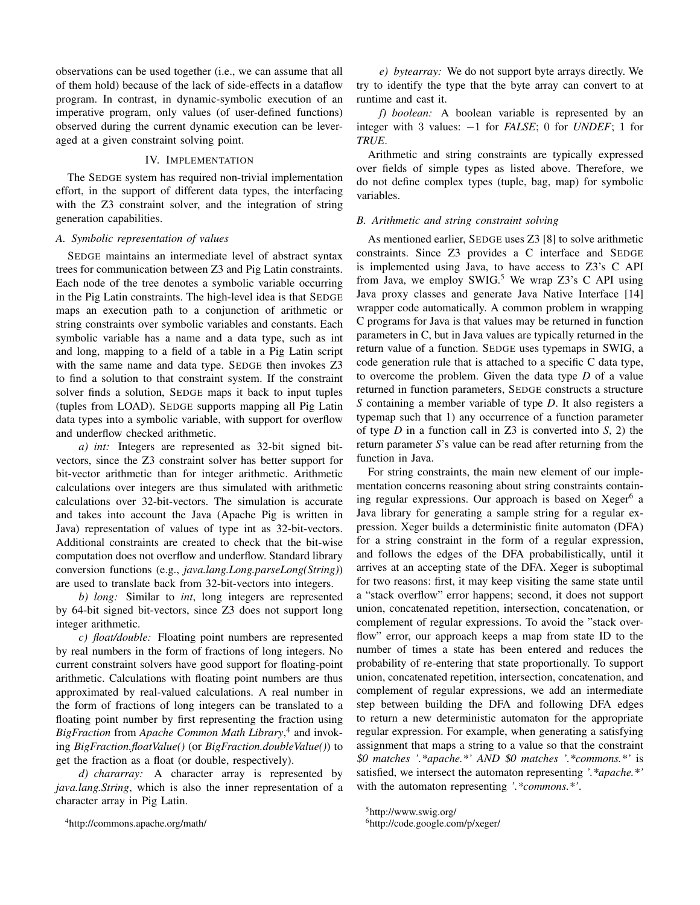observations can be used together (i.e., we can assume that all of them hold) because of the lack of side-effects in a dataflow program. In contrast, in dynamic-symbolic execution of an imperative program, only values (of user-defined functions) observed during the current dynamic execution can be leveraged at a given constraint solving point.

# IV. IMPLEMENTATION

The SEDGE system has required non-trivial implementation effort, in the support of different data types, the interfacing with the Z3 constraint solver, and the integration of string generation capabilities.

# *A. Symbolic representation of values*

SEDGE maintains an intermediate level of abstract syntax trees for communication between Z3 and Pig Latin constraints. Each node of the tree denotes a symbolic variable occurring in the Pig Latin constraints. The high-level idea is that SEDGE maps an execution path to a conjunction of arithmetic or string constraints over symbolic variables and constants. Each symbolic variable has a name and a data type, such as int and long, mapping to a field of a table in a Pig Latin script with the same name and data type. SEDGE then invokes Z3 to find a solution to that constraint system. If the constraint solver finds a solution, SEDGE maps it back to input tuples (tuples from LOAD). SEDGE supports mapping all Pig Latin data types into a symbolic variable, with support for overflow and underflow checked arithmetic.

*a) int:* Integers are represented as 32-bit signed bitvectors, since the Z3 constraint solver has better support for bit-vector arithmetic than for integer arithmetic. Arithmetic calculations over integers are thus simulated with arithmetic calculations over 32-bit-vectors. The simulation is accurate and takes into account the Java (Apache Pig is written in Java) representation of values of type int as 32-bit-vectors. Additional constraints are created to check that the bit-wise computation does not overflow and underflow. Standard library conversion functions (e.g., *java.lang.Long.parseLong(String)*) are used to translate back from 32-bit-vectors into integers.

*b) long:* Similar to *int*, long integers are represented by 64-bit signed bit-vectors, since Z3 does not support long integer arithmetic.

*c) float/double:* Floating point numbers are represented by real numbers in the form of fractions of long integers. No current constraint solvers have good support for floating-point arithmetic. Calculations with floating point numbers are thus approximated by real-valued calculations. A real number in the form of fractions of long integers can be translated to a floating point number by first representing the fraction using *BigFraction* from *Apache Common Math Library*, 4 and invoking *BigFraction.floatValue()* (or *BigFraction.doubleValue()*) to get the fraction as a float (or double, respectively).

*d) chararray:* A character array is represented by *java.lang.String*, which is also the inner representation of a character array in Pig Latin.

<sup>4</sup>http://commons.apache.org/math/

*e) bytearray:* We do not support byte arrays directly. We try to identify the type that the byte array can convert to at runtime and cast it.

*f) boolean:* A boolean variable is represented by an integer with 3 values: −1 for *FALSE*; 0 for *UNDEF*; 1 for *TRUE*.

Arithmetic and string constraints are typically expressed over fields of simple types as listed above. Therefore, we do not define complex types (tuple, bag, map) for symbolic variables.

# *B. Arithmetic and string constraint solving*

As mentioned earlier, SEDGE uses Z3 [8] to solve arithmetic constraints. Since Z3 provides a C interface and SEDGE is implemented using Java, to have access to Z3's C API from Java, we employ SWIG.<sup>5</sup> We wrap  $Z3$ 's C API using Java proxy classes and generate Java Native Interface [14] wrapper code automatically. A common problem in wrapping C programs for Java is that values may be returned in function parameters in C, but in Java values are typically returned in the return value of a function. SEDGE uses typemaps in SWIG, a code generation rule that is attached to a specific C data type, to overcome the problem. Given the data type *D* of a value returned in function parameters, SEDGE constructs a structure *S* containing a member variable of type *D*. It also registers a typemap such that 1) any occurrence of a function parameter of type *D* in a function call in Z3 is converted into *S*, 2) the return parameter *S*'s value can be read after returning from the function in Java.

For string constraints, the main new element of our implementation concerns reasoning about string constraints containing regular expressions. Our approach is based on Xeger<sup>6</sup> a Java library for generating a sample string for a regular expression. Xeger builds a deterministic finite automaton (DFA) for a string constraint in the form of a regular expression, and follows the edges of the DFA probabilistically, until it arrives at an accepting state of the DFA. Xeger is suboptimal for two reasons: first, it may keep visiting the same state until a "stack overflow" error happens; second, it does not support union, concatenated repetition, intersection, concatenation, or complement of regular expressions. To avoid the "stack overflow" error, our approach keeps a map from state ID to the number of times a state has been entered and reduces the probability of re-entering that state proportionally. To support union, concatenated repetition, intersection, concatenation, and complement of regular expressions, we add an intermediate step between building the DFA and following DFA edges to return a new deterministic automaton for the appropriate regular expression. For example, when generating a satisfying assignment that maps a string to a value so that the constraint \$*0 matches '.\*apache.\*' AND* \$*0 matches '.\*commons.\*'* is satisfied, we intersect the automaton representing *'.\*apache.\*'* with the automaton representing *'.\*commons.\*'*.

<sup>5</sup>http://www.swig.org/ 6http://code.google.com/p/xeger/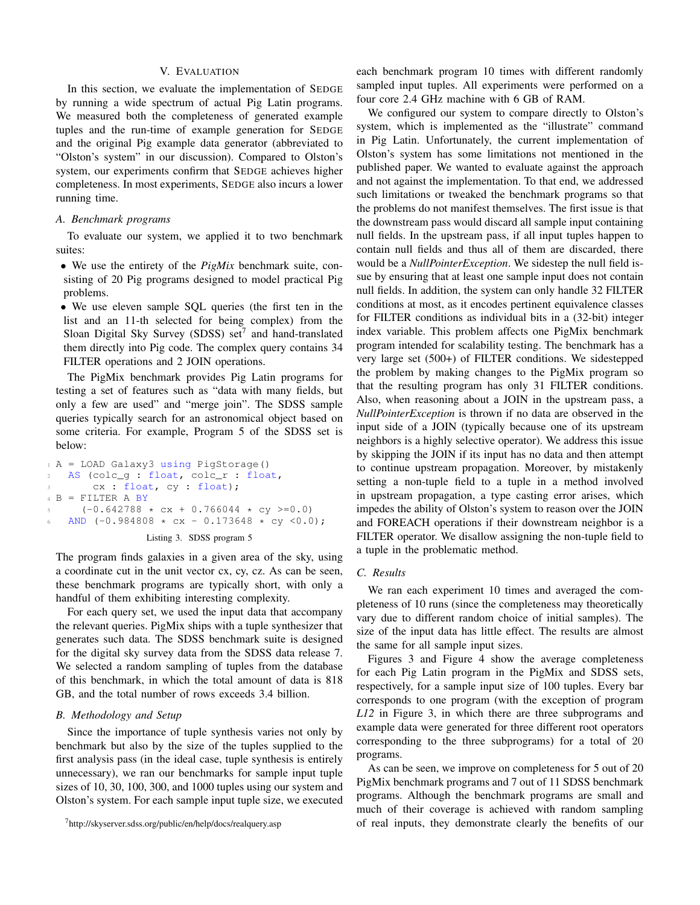#### V. EVALUATION

In this section, we evaluate the implementation of SEDGE by running a wide spectrum of actual Pig Latin programs. We measured both the completeness of generated example tuples and the run-time of example generation for SEDGE and the original Pig example data generator (abbreviated to "Olston's system" in our discussion). Compared to Olston's system, our experiments confirm that SEDGE achieves higher completeness. In most experiments, SEDGE also incurs a lower running time.

# *A. Benchmark programs*

To evaluate our system, we applied it to two benchmark suites:

• We use the entirety of the *PigMix* benchmark suite, consisting of 20 Pig programs designed to model practical Pig problems.

• We use eleven sample SQL queries (the first ten in the list and an 11-th selected for being complex) from the Sloan Digital Sky Survey (SDSS) set $^7$  and hand-translated them directly into Pig code. The complex query contains 34 FILTER operations and 2 JOIN operations.

The PigMix benchmark provides Pig Latin programs for testing a set of features such as "data with many fields, but only a few are used" and "merge join". The SDSS sample queries typically search for an astronomical object based on some criteria. For example, Program 5 of the SDSS set is below:

```
1 A = LOAD Galaxy3 using PigStorage()
   AS (colc_g : float, colc_r : float,
        cx : float, cy : float);
4 B = FILTER A BY
      (-0.642788 \times cx + 0.766044 \times cy \ge 0.0)AND (-0.984808 \times cx - 0.173648 \times cy \le 0.0);
```
#### Listing 3. SDSS program 5

The program finds galaxies in a given area of the sky, using a coordinate cut in the unit vector cx, cy, cz. As can be seen, these benchmark programs are typically short, with only a handful of them exhibiting interesting complexity.

For each query set, we used the input data that accompany the relevant queries. PigMix ships with a tuple synthesizer that generates such data. The SDSS benchmark suite is designed for the digital sky survey data from the SDSS data release 7. We selected a random sampling of tuples from the database of this benchmark, in which the total amount of data is 818 GB, and the total number of rows exceeds 3.4 billion.

# *B. Methodology and Setup*

Since the importance of tuple synthesis varies not only by benchmark but also by the size of the tuples supplied to the first analysis pass (in the ideal case, tuple synthesis is entirely unnecessary), we ran our benchmarks for sample input tuple sizes of 10, 30, 100, 300, and 1000 tuples using our system and Olston's system. For each sample input tuple size, we executed

each benchmark program 10 times with different randomly sampled input tuples. All experiments were performed on a four core 2.4 GHz machine with 6 GB of RAM.

We configured our system to compare directly to Olston's system, which is implemented as the "illustrate" command in Pig Latin. Unfortunately, the current implementation of Olston's system has some limitations not mentioned in the published paper. We wanted to evaluate against the approach and not against the implementation. To that end, we addressed such limitations or tweaked the benchmark programs so that the problems do not manifest themselves. The first issue is that the downstream pass would discard all sample input containing null fields. In the upstream pass, if all input tuples happen to contain null fields and thus all of them are discarded, there would be a *NullPointerException*. We sidestep the null field issue by ensuring that at least one sample input does not contain null fields. In addition, the system can only handle 32 FILTER conditions at most, as it encodes pertinent equivalence classes for FILTER conditions as individual bits in a (32-bit) integer index variable. This problem affects one PigMix benchmark program intended for scalability testing. The benchmark has a very large set (500+) of FILTER conditions. We sidestepped the problem by making changes to the PigMix program so that the resulting program has only 31 FILTER conditions. Also, when reasoning about a JOIN in the upstream pass, a *NullPointerException* is thrown if no data are observed in the input side of a JOIN (typically because one of its upstream neighbors is a highly selective operator). We address this issue by skipping the JOIN if its input has no data and then attempt to continue upstream propagation. Moreover, by mistakenly setting a non-tuple field to a tuple in a method involved in upstream propagation, a type casting error arises, which impedes the ability of Olston's system to reason over the JOIN and FOREACH operations if their downstream neighbor is a FILTER operator. We disallow assigning the non-tuple field to a tuple in the problematic method.

# *C. Results*

We ran each experiment 10 times and averaged the completeness of 10 runs (since the completeness may theoretically vary due to different random choice of initial samples). The size of the input data has little effect. The results are almost the same for all sample input sizes.

Figures 3 and Figure 4 show the average completeness for each Pig Latin program in the PigMix and SDSS sets, respectively, for a sample input size of 100 tuples. Every bar corresponds to one program (with the exception of program *L12* in Figure 3, in which there are three subprograms and example data were generated for three different root operators corresponding to the three subprograms) for a total of 20 programs.

As can be seen, we improve on completeness for 5 out of 20 PigMix benchmark programs and 7 out of 11 SDSS benchmark programs. Although the benchmark programs are small and much of their coverage is achieved with random sampling of real inputs, they demonstrate clearly the benefits of our

<sup>7</sup>http://skyserver.sdss.org/public/en/help/docs/realquery.asp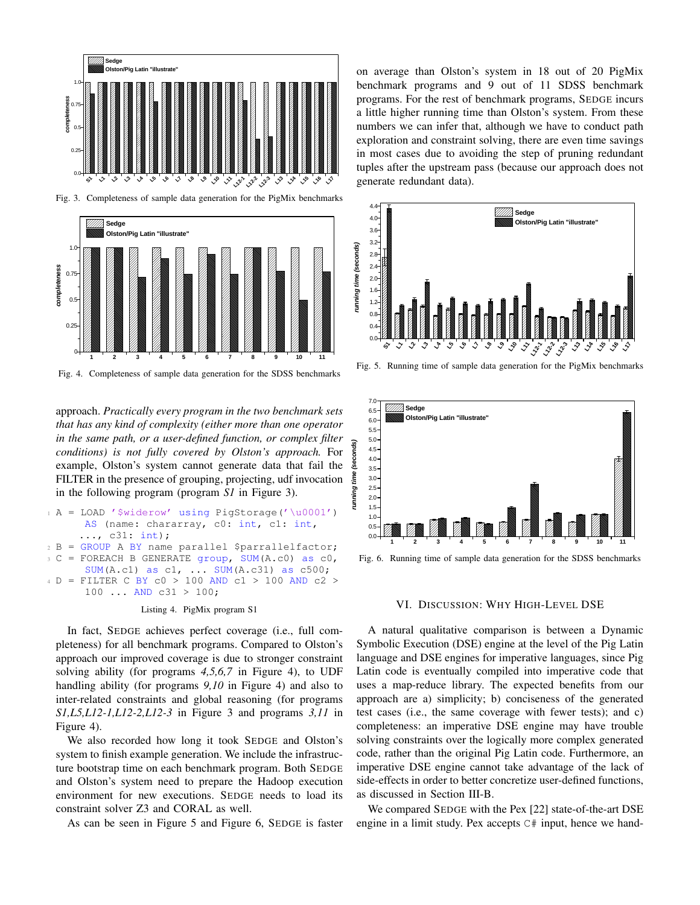

Fig. 3. Completeness of sample data generation for the PigMix benchmarks



Fig. 4. Completeness of sample data generation for the SDSS benchmarks

approach. *Practically every program in the two benchmark sets that has any kind of complexity (either more than one operator in the same path, or a user-defined function, or complex filter conditions) is not fully covered by Olston's approach.* For example, Olston's system cannot generate data that fail the FILTER in the presence of grouping, projecting, udf invocation in the following program (program *S1* in Figure 3).

```
A = LOAD '$widerow' using PigStorage('\u0001')
      AS (name: chararray, c0: int, c1: int,
     ..., c31: int);
2 B = GROUP A BY name parallel $parrallelfactor;
3 C = FOREACH B GENERATE group, SUM(A.c0) as c0,
      SUM(A.c1) as c1, ... SUM(A.c31) as c500;
4 D = FILTER C BY c0 > 100 AND c1 > 100 AND c2 >
      100 ... AND c31 > 100;
```
# Listing 4. PigMix program S1

In fact, SEDGE achieves perfect coverage (i.e., full completeness) for all benchmark programs. Compared to Olston's approach our improved coverage is due to stronger constraint solving ability (for programs *4,5,6,7* in Figure 4), to UDF handling ability (for programs *9,10* in Figure 4) and also to inter-related constraints and global reasoning (for programs *S1,L5,L12-1,L12-2,L12-3* in Figure 3 and programs *3,11* in Figure 4).

We also recorded how long it took SEDGE and Olston's system to finish example generation. We include the infrastructure bootstrap time on each benchmark program. Both SEDGE and Olston's system need to prepare the Hadoop execution environment for new executions. SEDGE needs to load its constraint solver Z3 and CORAL as well.

As can be seen in Figure 5 and Figure 6, SEDGE is faster

on average than Olston's system in 18 out of 20 PigMix benchmark programs and 9 out of 11 SDSS benchmark programs. For the rest of benchmark programs, SEDGE incurs a little higher running time than Olston's system. From these numbers we can infer that, although we have to conduct path exploration and constraint solving, there are even time savings in most cases due to avoiding the step of pruning redundant tuples after the upstream pass (because our approach does not generate redundant data).



Fig. 5. Running time of sample data generation for the PigMix benchmarks



Fig. 6. Running time of sample data generation for the SDSS benchmarks

#### VI. DISCUSSION: WHY HIGH-LEVEL DSE

A natural qualitative comparison is between a Dynamic Symbolic Execution (DSE) engine at the level of the Pig Latin language and DSE engines for imperative languages, since Pig Latin code is eventually compiled into imperative code that uses a map-reduce library. The expected benefits from our approach are a) simplicity; b) conciseness of the generated test cases (i.e., the same coverage with fewer tests); and c) completeness: an imperative DSE engine may have trouble solving constraints over the logically more complex generated code, rather than the original Pig Latin code. Furthermore, an imperative DSE engine cannot take advantage of the lack of side-effects in order to better concretize user-defined functions, as discussed in Section III-B.

We compared SEDGE with the Pex [22] state-of-the-art DSE engine in a limit study. Pex accepts  $C#$  input, hence we hand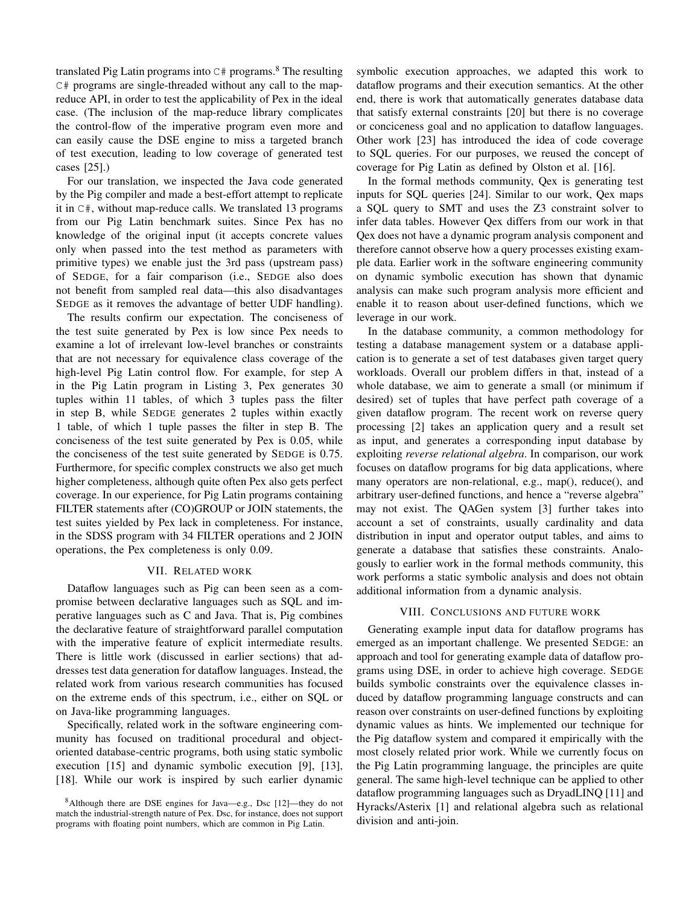translated Pig Latin programs into  $C#$  programs.<sup>8</sup> The resulting C# programs are single-threaded without any call to the mapreduce API, in order to test the applicability of Pex in the ideal case. (The inclusion of the map-reduce library complicates the control-flow of the imperative program even more and can easily cause the DSE engine to miss a targeted branch of test execution, leading to low coverage of generated test cases [25].)

For our translation, we inspected the Java code generated by the Pig compiler and made a best-effort attempt to replicate it in C#, without map-reduce calls. We translated 13 programs from our Pig Latin benchmark suites. Since Pex has no knowledge of the original input (it accepts concrete values only when passed into the test method as parameters with primitive types) we enable just the 3rd pass (upstream pass) of SEDGE, for a fair comparison (i.e., SEDGE also does not benefit from sampled real data—this also disadvantages SEDGE as it removes the advantage of better UDF handling).

The results confirm our expectation. The conciseness of the test suite generated by Pex is low since Pex needs to examine a lot of irrelevant low-level branches or constraints that are not necessary for equivalence class coverage of the high-level Pig Latin control flow. For example, for step A in the Pig Latin program in Listing 3, Pex generates 30 tuples within 11 tables, of which 3 tuples pass the filter in step B, while SEDGE generates 2 tuples within exactly 1 table, of which 1 tuple passes the filter in step B. The conciseness of the test suite generated by Pex is 0.05, while the conciseness of the test suite generated by SEDGE is 0.75. Furthermore, for specific complex constructs we also get much higher completeness, although quite often Pex also gets perfect coverage. In our experience, for Pig Latin programs containing FILTER statements after (CO)GROUP or JOIN statements, the test suites yielded by Pex lack in completeness. For instance, in the SDSS program with 34 FILTER operations and 2 JOIN operations, the Pex completeness is only 0.09.

# VII. RELATED WORK

Dataflow languages such as Pig can been seen as a compromise between declarative languages such as SQL and imperative languages such as C and Java. That is, Pig combines the declarative feature of straightforward parallel computation with the imperative feature of explicit intermediate results. There is little work (discussed in earlier sections) that addresses test data generation for dataflow languages. Instead, the related work from various research communities has focused on the extreme ends of this spectrum, i.e., either on SQL or on Java-like programming languages.

Specifically, related work in the software engineering community has focused on traditional procedural and objectoriented database-centric programs, both using static symbolic execution [15] and dynamic symbolic execution [9], [13], [18]. While our work is inspired by such earlier dynamic symbolic execution approaches, we adapted this work to dataflow programs and their execution semantics. At the other end, there is work that automatically generates database data that satisfy external constraints [20] but there is no coverage or conciceness goal and no application to dataflow languages. Other work [23] has introduced the idea of code coverage to SQL queries. For our purposes, we reused the concept of coverage for Pig Latin as defined by Olston et al. [16].

In the formal methods community, Qex is generating test inputs for SQL queries [24]. Similar to our work, Qex maps a SQL query to SMT and uses the Z3 constraint solver to infer data tables. However Qex differs from our work in that Qex does not have a dynamic program analysis component and therefore cannot observe how a query processes existing example data. Earlier work in the software engineering community on dynamic symbolic execution has shown that dynamic analysis can make such program analysis more efficient and enable it to reason about user-defined functions, which we leverage in our work.

In the database community, a common methodology for testing a database management system or a database application is to generate a set of test databases given target query workloads. Overall our problem differs in that, instead of a whole database, we aim to generate a small (or minimum if desired) set of tuples that have perfect path coverage of a given dataflow program. The recent work on reverse query processing [2] takes an application query and a result set as input, and generates a corresponding input database by exploiting *reverse relational algebra*. In comparison, our work focuses on dataflow programs for big data applications, where many operators are non-relational, e.g., map(), reduce(), and arbitrary user-defined functions, and hence a "reverse algebra" may not exist. The QAGen system [3] further takes into account a set of constraints, usually cardinality and data distribution in input and operator output tables, and aims to generate a database that satisfies these constraints. Analogously to earlier work in the formal methods community, this work performs a static symbolic analysis and does not obtain additional information from a dynamic analysis.

#### VIII. CONCLUSIONS AND FUTURE WORK

Generating example input data for dataflow programs has emerged as an important challenge. We presented SEDGE: an approach and tool for generating example data of dataflow programs using DSE, in order to achieve high coverage. SEDGE builds symbolic constraints over the equivalence classes induced by dataflow programming language constructs and can reason over constraints on user-defined functions by exploiting dynamic values as hints. We implemented our technique for the Pig dataflow system and compared it empirically with the most closely related prior work. While we currently focus on the Pig Latin programming language, the principles are quite general. The same high-level technique can be applied to other dataflow programming languages such as DryadLINQ [11] and Hyracks/Asterix [1] and relational algebra such as relational division and anti-join.

<sup>8</sup>Although there are DSE engines for Java—e.g., Dsc [12]—they do not match the industrial-strength nature of Pex. Dsc, for instance, does not support programs with floating point numbers, which are common in Pig Latin.